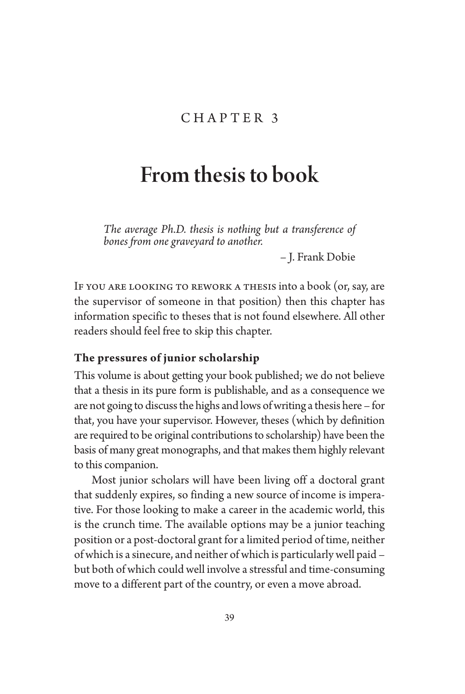# CHAPTER 3

# From thesis to book

*The average Ph.D. thesis is nothing but a transference of bones from one graveyard to another.* 

– J. Frank Dobie

If you are looking to rework a thesis into a book (or, say, are the supervisor of someone in that position) then this chapter has information specific to theses that is not found elsewhere. All other readers should feel free to skip this chapter.

#### **The pressures of junior scholarship**

This volume is about getting your book published; we do not believe that a thesis in its pure form is publishable, and as a consequence we are not going to discuss the highs and lows of writing a thesis here – for that, you have your supervisor. However, theses (which by definition are required to be original contributions to scholarship) have been the basis of many great monographs, and that makes them highly relevant to this companion.

Most junior scholars will have been living off a doctoral grant that suddenly expires, so finding a new source of income is imperative. For those looking to make a career in the academic world, this is the crunch time. The available options may be a junior teaching position or a post-doctoral grant for a limited period of time, neither of which is a sinecure, and neither of which is particularly well paid – but both of which could well involve a stressful and time-consuming move to a different part of the country, or even a move abroad.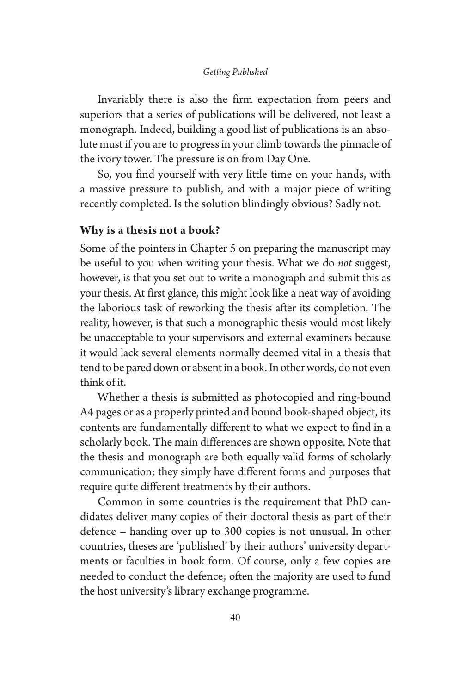Invariably there is also the firm expectation from peers and superiors that a series of publications will be delivered, not least a monograph. Indeed, building a good list of publications is an absolute must if you are to progress in your climb towards the pinnacle of the ivory tower. The pressure is on from Day One.

So, you find yourself with very little time on your hands, with a massive pressure to publish, and with a major piece of writing recently completed. Is the solution blindingly obvious? Sadly not.

#### **Why is a thesis not a book?**

Some of the pointers in Chapter 5 on preparing the manuscript may be useful to you when writing your thesis. What we do *not* suggest, however, is that you set out to write a monograph and submit this as your thesis. At first glance, this might look like a neat way of avoiding the laborious task of reworking the thesis after its completion. The reality, however, is that such a monographic thesis would most likely be unacceptable to your supervisors and external examiners because it would lack several elements normally deemed vital in a thesis that tend to be pared down or absent in a book. In other words, do not even think of it.

Whether a thesis is submitted as photocopied and ring-bound A4 pages or as a properly printed and bound book-shaped object, its contents are fundamentally different to what we expect to find in a scholarly book. The main differences are shown opposite. Note that the thesis and monograph are both equally valid forms of scholarly communication; they simply have different forms and purposes that require quite different treatments by their authors.

Common in some countries is the requirement that PhD candidates deliver many copies of their doctoral thesis as part of their defence – handing over up to 300 copies is not unusual. In other countries, theses are 'published' by their authors' university departments or faculties in book form. Of course, only a few copies are needed to conduct the defence; often the majority are used to fund the host university's library exchange programme.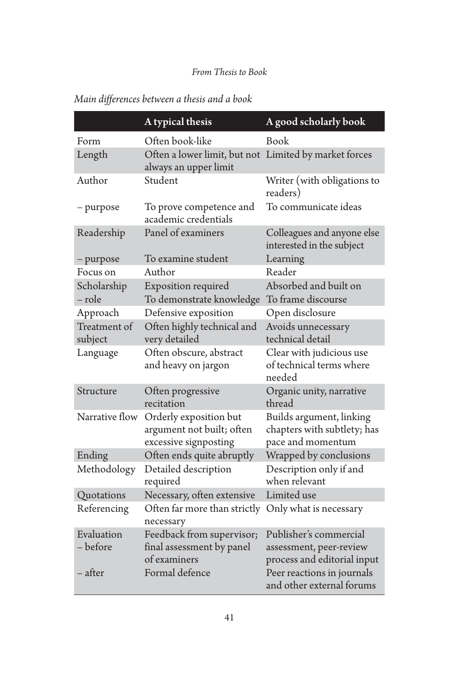### *From Thesis to Book*

|                                     | A typical thesis                                                               | A good scholarly book                                                            |
|-------------------------------------|--------------------------------------------------------------------------------|----------------------------------------------------------------------------------|
| Form                                | Often book-like                                                                | <b>Book</b>                                                                      |
| Length                              | Often a lower limit, but not Limited by market forces<br>always an upper limit |                                                                                  |
| Author                              | Student                                                                        | Writer (with obligations to<br>readers)                                          |
| - purpose                           | To prove competence and<br>academic credentials                                | To communicate ideas                                                             |
| Readership                          | Panel of examiners                                                             | Colleagues and anyone else<br>interested in the subject                          |
| - purpose                           | To examine student                                                             | Learning                                                                         |
| Focus on                            | Author                                                                         | Reader                                                                           |
| Scholarship<br>– role               | Exposition required                                                            | Absorbed and built on<br>To frame discourse                                      |
|                                     | To demonstrate knowledge                                                       |                                                                                  |
| Approach<br>Treatment of<br>subject | Defensive exposition<br>Often highly technical and<br>very detailed            | Open disclosure<br>Avoids unnecessary<br>technical detail                        |
| Language                            | Often obscure, abstract<br>and heavy on jargon                                 | Clear with judicious use<br>of technical terms where<br>needed                   |
| Structure                           | Often progressive<br>recitation                                                | Organic unity, narrative<br>thread                                               |
| Narrative flow                      | Orderly exposition but<br>argument not built; often<br>excessive signposting   | Builds argument, linking<br>chapters with subtlety; has<br>pace and momentum     |
| Ending                              | Often ends quite abruptly                                                      | Wrapped by conclusions                                                           |
| Methodology                         | Detailed description<br>required                                               | Description only if and<br>when relevant                                         |
| Quotations                          | Necessary, often extensive                                                     | Limited use                                                                      |
| Referencing                         | Often far more than strictly<br>necessary                                      | Only what is necessary                                                           |
| Evaluation<br>- before              | Feedback from supervisor;<br>final assessment by panel<br>of examiners         | Publisher's commercial<br>assessment, peer-review<br>process and editorial input |
| – after                             | Formal defence                                                                 | Peer reactions in journals<br>and other external forums                          |

# *Main differences between a thesis and a book*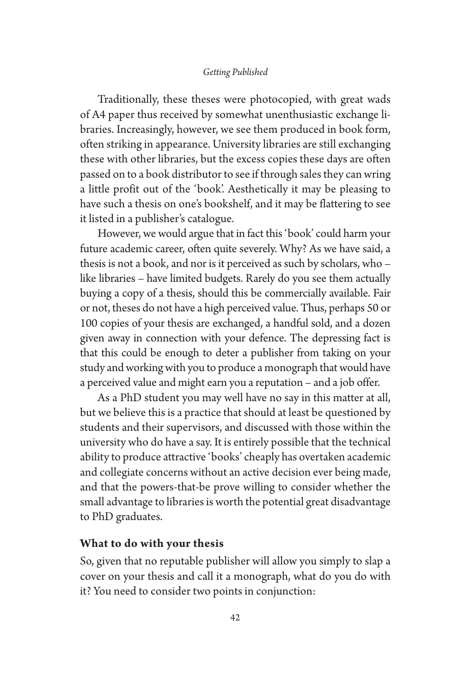Traditionally, these theses were photocopied, with great wads of A4 paper thus received by somewhat unenthusiastic exchange libraries. Increasingly, however, we see them produced in book form, often striking in appearance. University libraries are still exchanging these with other libraries, but the excess copies these days are often passed on to a book distributor to see if through sales they can wring a little profit out of the 'book'. Aesthetically it may be pleasing to have such a thesis on one's bookshelf, and it may be flattering to see it listed in a publisher's catalogue.

 However, we would argue that in fact this 'book' could harm your future academic career, often quite severely. Why? As we have said, a thesis is not a book, and nor is it perceived as such by scholars, who – like libraries – have limited budgets. Rarely do you see them actually buying a copy of a thesis, should this be commercially available. Fair or not, theses do not have a high perceived value. Thus, perhaps 50 or 100 copies of your thesis are exchanged, a handful sold, and a dozen given away in connection with your defence. The depressing fact is that this could be enough to deter a publisher from taking on your study and working with you to produce a monograph that would have a perceived value and might earn you a reputation – and a job offer.

 As a PhD student you may well have no say in this matter at all, but we believe this is a practice that should at least be questioned by students and their supervisors, and discussed with those within the university who do have a say. It is entirely possible that the technical ability to produce attractive 'books' cheaply has overtaken academic and collegiate concerns without an active decision ever being made, and that the powers-that-be prove willing to consider whether the small advantage to libraries is worth the potential great disadvantage to PhD graduates.

#### **What to do with your thesis**

So, given that no reputable publisher will allow you simply to slap a cover on your thesis and call it a monograph, what do you do with it? You need to consider two points in conjunction: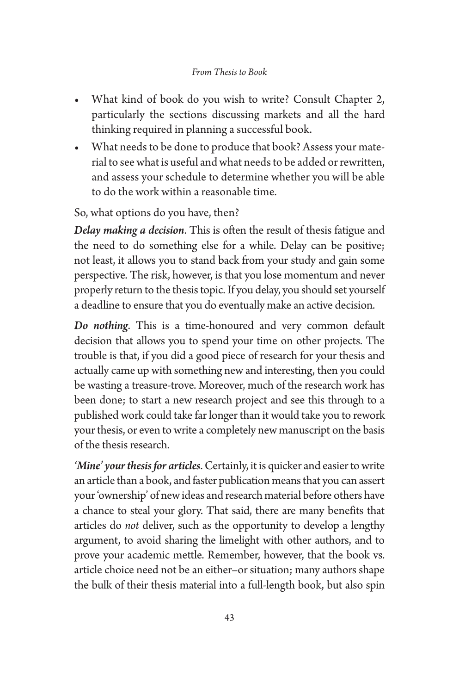- What kind of book do you wish to write? Consult Chapter 2, particularly the sections discussing markets and all the hard thinking required in planning a successful book.
- What needs to be done to produce that book? Assess your material to see what is useful and what needs to be added or rewritten, and assess your schedule to determine whether you will be able to do the work within a reasonable time.

#### So, what options do you have, then?

*Delay making a decision*. This is often the result of thesis fatigue and the need to do something else for a while. Delay can be positive; not least, it allows you to stand back from your study and gain some perspective. The risk, however, is that you lose momentum and never properly return to the thesis topic. If you delay, you should set yourself a deadline to ensure that you do eventually make an active decision.

*Do nothing*. This is a time-honoured and very common default decision that allows you to spend your time on other projects. The trouble is that, if you did a good piece of research for your thesis and actually came up with something new and interesting, then you could be wasting a treasure-trove. Moreover, much of the research work has been done; to start a new research project and see this through to a published work could take far longer than it would take you to rework your thesis, or even to write a completely new manuscript on the basis of the thesis research.

*'Mine' your thesis for articles*. Certainly, it is quicker and easier to write an article than a book, and faster publication means that you can assert your 'ownership' of new ideas and research material before others have a chance to steal your glory. That said, there are many benefits that articles do *not* deliver, such as the opportunity to develop a lengthy argument, to avoid sharing the limelight with other authors, and to prove your academic mettle. Remember, however, that the book vs. article choice need not be an either–or situation; many authors shape the bulk of their thesis material into a full-length book, but also spin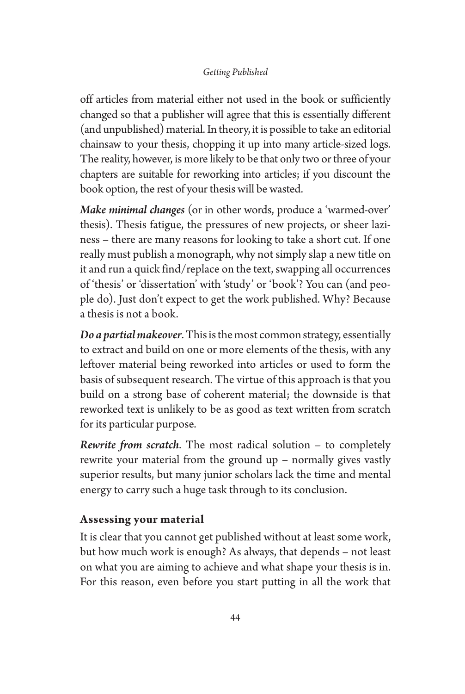off articles from material either not used in the book or sufficiently changed so that a publisher will agree that this is essentially different (and unpublished) material. In theory, it is possible to take an editorial chainsaw to your thesis, chopping it up into many article-sized logs. The reality, however, is more likely to be that only two or three of your chapters are suitable for reworking into articles; if you discount the book option, the rest of your thesis will be wasted.

*Make minimal changes* (or in other words, produce a 'warmed-over' thesis). Thesis fatigue, the pressures of new projects, or sheer laziness – there are many reasons for looking to take a short cut. If one really must publish a monograph, why not simply slap a new title on it and run a quick find/replace on the text, swapping all occurrences of 'thesis' or 'dissertation' with 'study' or 'book'? You can (and people do). Just don't expect to get the work published. Why? Because a thesis is not a book.

*Do a partial makeover*. This is the most common strategy, essentially to extract and build on one or more elements of the thesis, with any leftover material being reworked into articles or used to form the basis of subsequent research. The virtue of this approach is that you build on a strong base of coherent material; the downside is that reworked text is unlikely to be as good as text written from scratch for its particular purpose.

*Rewrite from scratch*. The most radical solution – to completely rewrite your material from the ground up – normally gives vastly superior results, but many junior scholars lack the time and mental energy to carry such a huge task through to its conclusion.

# **Assessing your material**

It is clear that you cannot get published without at least some work, but how much work is enough? As always, that depends – not least on what you are aiming to achieve and what shape your thesis is in. For this reason, even before you start putting in all the work that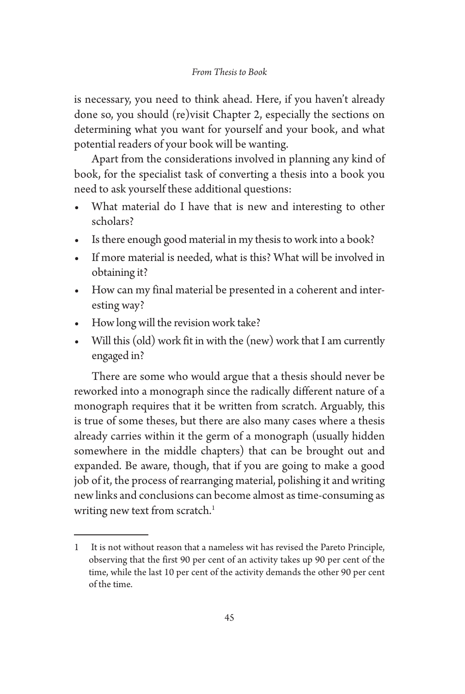is necessary, you need to think ahead. Here, if you haven't already done so, you should (re)visit Chapter 2, especially the sections on determining what you want for yourself and your book, and what potential readers of your book will be wanting.

 Apart from the considerations involved in planning any kind of book, for the specialist task of converting a thesis into a book you need to ask yourself these additional questions:

- What material do I have that is new and interesting to other scholars?
- **r** Is there enough good material in my thesis to work into a book?
- If more material is needed, what is this? What will be involved in obtaining it?
- **r** How can my final material be presented in a coherent and interesting way?
- How long will the revision work take?
- **r** Will this (old) work fit in with the (new) work that I am currently engaged in?

 There are some who would argue that a thesis should never be reworked into a monograph since the radically different nature of a monograph requires that it be written from scratch. Arguably, this is true of some theses, but there are also many cases where a thesis already carries within it the germ of a monograph (usually hidden somewhere in the middle chapters) that can be brought out and expanded. Be aware, though, that if you are going to make a good job of it, the process of rearranging material, polishing it and writing new links and conclusions can become almost as time-consuming as writing new text from scratch.<sup>1</sup>

<sup>1</sup> It is not without reason that a nameless wit has revised the Pareto Principle, observing that the first 90 per cent of an activity takes up 90 per cent of the time, while the last 10 per cent of the activity demands the other 90 per cent of the time.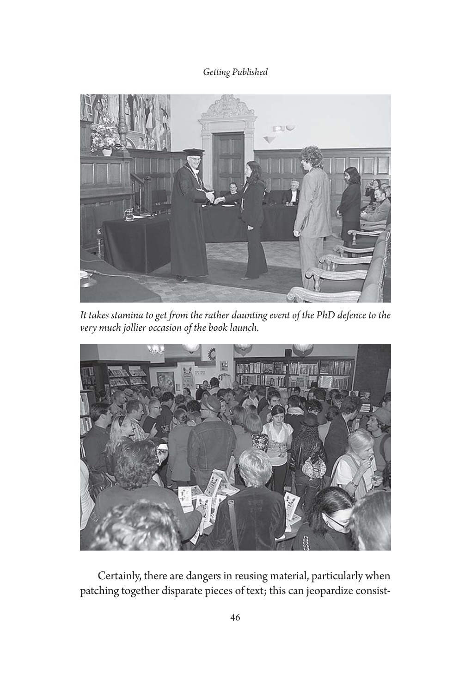

*It takes stamina to get from the rather daunting event of the PhD defence to the very much jollier occasion of the book launch.*



Certainly, there are dangers in reusing material, particularly when patching together disparate pieces of text; this can jeopardize consist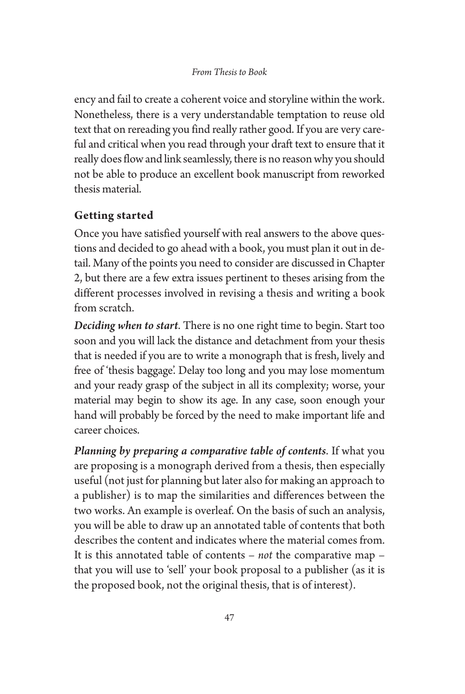ency and fail to create a coherent voice and storyline within the work. Nonetheless, there is a very understandable temptation to reuse old text that on rereading you find really rather good. If you are very careful and critical when you read through your draft text to ensure that it really does flow and link seamlessly, there is no reason why you should not be able to produce an excellent book manuscript from reworked thesis material.

#### **Getting started**

Once you have satisfied yourself with real answers to the above questions and decided to go ahead with a book, you must plan it out in detail. Many of the points you need to consider are discussed in Chapter 2, but there are a few extra issues pertinent to theses arising from the different processes involved in revising a thesis and writing a book from scratch.

*Deciding when to start*. There is no one right time to begin. Start too soon and you will lack the distance and detachment from your thesis that is needed if you are to write a monograph that is fresh, lively and free of 'thesis baggage'. Delay too long and you may lose momentum and your ready grasp of the subject in all its complexity; worse, your material may begin to show its age. In any case, soon enough your hand will probably be forced by the need to make important life and career choices.

*Planning by preparing a comparative table of contents*. If what you are proposing is a monograph derived from a thesis, then especially useful (not just for planning but later also for making an approach to a publisher) is to map the similarities and differences between the two works. An example is overleaf. On the basis of such an analysis, you will be able to draw up an annotated table of contents that both describes the content and indicates where the material comes from. It is this annotated table of contents – *not* the comparative map – that you will use to 'sell' your book proposal to a publisher (as it is the proposed book, not the original thesis, that is of interest).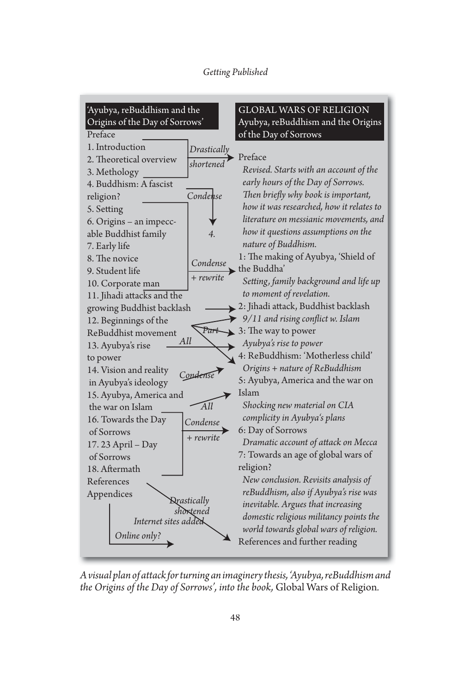| 'Ayubya, reBuddhism and the                    | <b>GLOBAL WARS OF RELIGION</b>           |
|------------------------------------------------|------------------------------------------|
| Origins of the Day of Sorrows'                 | Ayubya, reBuddhism and the Origins       |
| Preface                                        | of the Day of Sorrows                    |
| 1. Introduction<br>Drastically                 |                                          |
| 2. Theoretical overview<br>shortened           | Preface                                  |
| 3. Methology                                   | Revised. Starts with an account of the   |
| 4. Buddhism: A fascist                         | early hours of the Day of Sorrows.       |
| Condense<br>religion?                          | Then briefly why book is important,      |
| 5. Setting                                     | how it was researched, how it relates to |
| 6. Origins - an impecc-                        | literature on messianic movements, and   |
| able Buddhist family<br>$\overline{4}$ .       | how it questions assumptions on the      |
| 7. Early life                                  | nature of Buddhism.                      |
| 8. The novice<br>Condense                      | 1: The making of Ayubya, 'Shield of      |
| 9. Student life                                | the Buddha'                              |
| + rewrite<br>10. Corporate man                 | Setting, family background and life up   |
| 11. Jihadi attacks and the                     | to moment of revelation.                 |
| growing Buddhist backlash                      | . 2: Jihadi attack, Buddhist backlash    |
| 12. Beginnings of the                          | 9/11 and rising conflict w. Islam        |
| Part-<br>ReBuddhist movement                   | $\Box$ 3: The way to power               |
| All<br>13. Ayubya's rise                       | Ayubya's rise to power                   |
| to power                                       | 4: ReBuddhism: 'Motherless child'        |
| 14. Vision and reality<br>Condense             | Origins + nature of ReBuddhism           |
| in Ayubya's ideology                           | 5: Ayubya, America and the war on        |
| 15. Ayubya, America and                        | Islam                                    |
| $\overline{All}$<br>the war on Islam           | Shocking new material on CIA             |
| 16. Towards the Day<br>Condense                | complicity in Ayubya's plans             |
| of Sorrows<br>+ rewrite                        | 6: Day of Sorrows                        |
| 17. 23 April – Day                             | Dramatic account of attack on Mecca      |
| of Sorrows                                     | 7: Towards an age of global wars of      |
| 18. Aftermath                                  | religion?                                |
| References                                     | New conclusion. Revisits analysis of     |
| Appendices<br><b><i><u>Drastically</u></i></b> | reBuddhism, also if Ayubya's rise was    |
| shortened                                      | inevitable. Argues that increasing       |
| Internet sites added                           | domestic religious militancy points the  |
| Online only?                                   | world towards global wars of religion.   |
|                                                | References and further reading           |

*A visual plan of attack for turning an imaginery thesis, 'Ayubya, reBuddhism and the Origins of the Day of Sorrows', into the book,* Global Wars of Religion*.*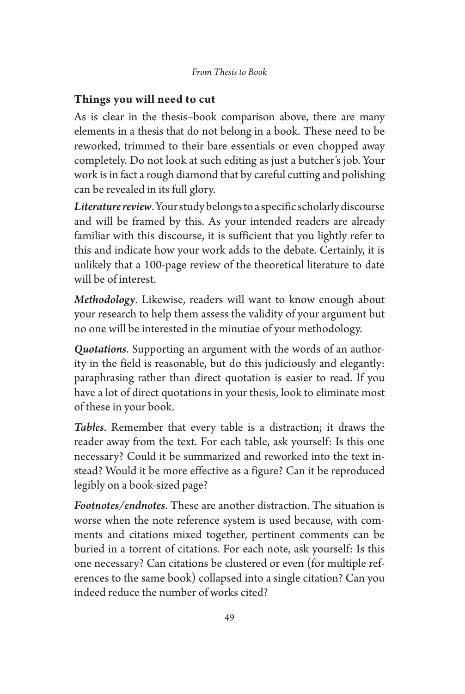### **Things you will need to cut**

As is clear in the thesis–book comparison above, there are many elements in a thesis that do not belong in a book. These need to be reworked, trimmed to their bare essentials or even chopped away completely. Do not look at such editing as just a butcher's job. Your work is in fact a rough diamond that by careful cutting and polishing can be revealed in its full glory.

*Literature review*. Your study belongs to a specific scholarly discourse and will be framed by this. As your intended readers are already familiar with this discourse, it is sufficient that you lightly refer to this and indicate how your work adds to the debate. Certainly, it is unlikely that a 100-page review of the theoretical literature to date will be of interest.

*Methodology*. Likewise, readers will want to know enough about your research to help them assess the validity of your argument but no one will be interested in the minutiae of your methodology.

*Quotations*. Supporting an argument with the words of an authority in the field is reasonable, but do this judiciously and elegantly: paraphrasing rather than direct quotation is easier to read. If you have a lot of direct quotations in your thesis, look to eliminate most of these in your book.

*Tables*. Remember that every table is a distraction; it draws the reader away from the text. For each table, ask yourself: Is this one necessary? Could it be summarized and reworked into the text instead? Would it be more effective as a figure? Can it be reproduced legibly on a book-sized page?

*Footnotes/endnotes*. These are another distraction. The situation is worse when the note reference system is used because, with comments and citations mixed together, pertinent comments can be buried in a torrent of citations. For each note, ask yourself: Is this one necessary? Can citations be clustered or even (for multiple references to the same book) collapsed into a single citation? Can you indeed reduce the number of works cited?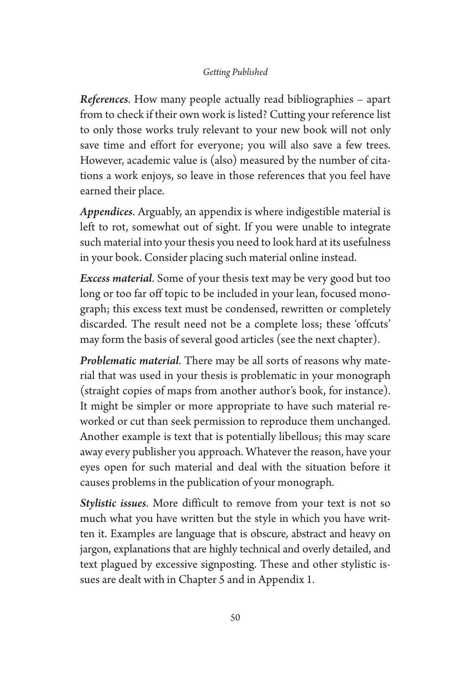*References*. How many people actually read bibliographies – apart from to check if their own work is listed? Cutting your reference list to only those works truly relevant to your new book will not only save time and effort for everyone; you will also save a few trees. However, academic value is (also) measured by the number of citations a work enjoys, so leave in those references that you feel have earned their place.

*Appendices*. Arguably, an appendix is where indigestible material is left to rot, somewhat out of sight. If you were unable to integrate such material into your thesis you need to look hard at its usefulness in your book. Consider placing such material online instead.

*Excess material*. Some of your thesis text may be very good but too long or too far off topic to be included in your lean, focused monograph; this excess text must be condensed, rewritten or completely discarded. The result need not be a complete loss; these 'offcuts' may form the basis of several good articles (see the next chapter).

*Problematic material*. There may be all sorts of reasons why material that was used in your thesis is problematic in your monograph (straight copies of maps from another author's book, for instance). It might be simpler or more appropriate to have such material reworked or cut than seek permission to reproduce them unchanged. Another example is text that is potentially libellous; this may scare away every publisher you approach. Whatever the reason, have your eyes open for such material and deal with the situation before it causes problems in the publication of your monograph.

*Stylistic issues*. More difficult to remove from your text is not so much what you have written but the style in which you have written it. Examples are language that is obscure, abstract and heavy on jargon, explanations that are highly technical and overly detailed, and text plagued by excessive signposting. These and other stylistic issues are dealt with in Chapter 5 and in Appendix 1.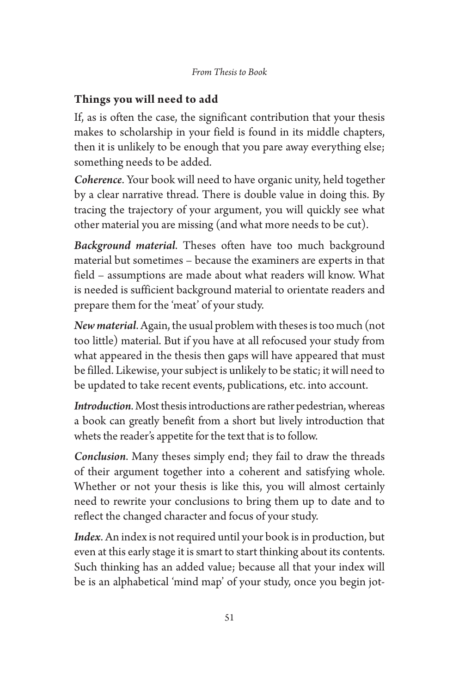# **Things you will need to add**

If, as is often the case, the significant contribution that your thesis makes to scholarship in your field is found in its middle chapters, then it is unlikely to be enough that you pare away everything else; something needs to be added.

*Coherence*. Your book will need to have organic unity, held together by a clear narrative thread. There is double value in doing this. By tracing the trajectory of your argument, you will quickly see what other material you are missing (and what more needs to be cut).

*Background material*. Theses often have too much background material but sometimes – because the examiners are experts in that field – assumptions are made about what readers will know. What is needed is sufficient background material to orientate readers and prepare them for the 'meat' of your study.

*New material*. Again, the usual problem with theses is too much (not too little) material. But if you have at all refocused your study from what appeared in the thesis then gaps will have appeared that must be filled. Likewise, your subject is unlikely to be static; it will need to be updated to take recent events, publications, etc. into account.

*Introduction*. Most thesis introductions are rather pedestrian, whereas a book can greatly benefit from a short but lively introduction that whets the reader's appetite for the text that is to follow.

*Conclusion*. Many theses simply end; they fail to draw the threads of their argument together into a coherent and satisfying whole. Whether or not your thesis is like this, you will almost certainly need to rewrite your conclusions to bring them up to date and to reflect the changed character and focus of your study.

*Index*. An index is not required until your book is in production, but even at this early stage it is smart to start thinking about its contents. Such thinking has an added value; because all that your index will be is an alphabetical 'mind map' of your study, once you begin jot-